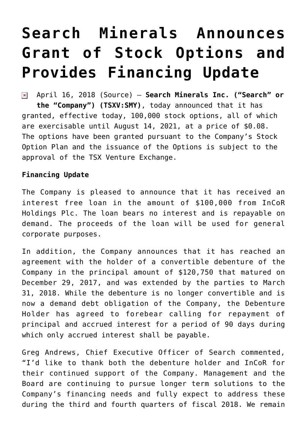# **[Search Minerals Announces](https://investorintel.com/markets/technology-metals/technology-metals-news/search-minerals-announces-grant-stock-options-provides-financing-update/) [Grant of Stock Options and](https://investorintel.com/markets/technology-metals/technology-metals-news/search-minerals-announces-grant-stock-options-provides-financing-update/) [Provides Financing Update](https://investorintel.com/markets/technology-metals/technology-metals-news/search-minerals-announces-grant-stock-options-provides-financing-update/)**

April 16, 2018 [\(Source\)](https://investorintel.com/iintel-members/search-minerals-inc/) — **Search Minerals Inc. ("Search" or**  $\pmb{\times}$ **the "Company") (TSXV:SMY)**, today announced that it has granted, effective today, 100,000 stock options, all of which are exercisable until August 14, 2021, at a price of \$0.08. The options have been granted pursuant to the Company's Stock Option Plan and the issuance of the Options is subject to the approval of the TSX Venture Exchange.

### **Financing Update**

The Company is pleased to announce that it has received an interest free loan in the amount of \$100,000 from InCoR Holdings Plc. The loan bears no interest and is repayable on demand. The proceeds of the loan will be used for general corporate purposes.

In addition, the Company announces that it has reached an agreement with the holder of a convertible debenture of the Company in the principal amount of \$120,750 that matured on December 29, 2017, and was extended by the parties to March 31, 2018. While the debenture is no longer convertible and is now a demand debt obligation of the Company, the Debenture Holder has agreed to forebear calling for repayment of principal and accrued interest for a period of 90 days during which only accrued interest shall be payable.

Greg Andrews, Chief Executive Officer of Search commented, "I'd like to thank both the debenture holder and InCoR for their continued support of the Company. Management and the Board are continuing to pursue longer term solutions to the Company's financing needs and fully expect to address these during the third and fourth quarters of fiscal 2018. We remain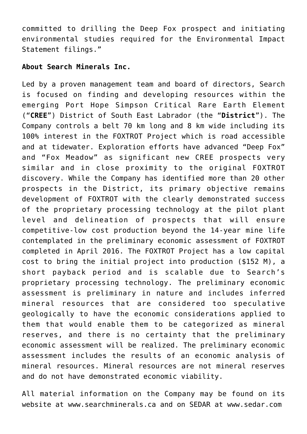committed to drilling the Deep Fox prospect and initiating environmental studies required for the Environmental Impact Statement filings."

## **About Search Minerals Inc.**

Led by a proven management team and board of directors, Search is focused on finding and developing resources within the emerging Port Hope Simpson Critical Rare Earth Element ("**CREE**") District of South East Labrador (the "**District**"). The Company controls a belt 70 km long and 8 km wide including its 100% interest in the FOXTROT Project which is road accessible and at tidewater. Exploration efforts have advanced "Deep Fox" and "Fox Meadow" as significant new CREE prospects very similar and in close proximity to the original FOXTROT discovery. While the Company has identified more than 20 other prospects in the District, its primary objective remains development of FOXTROT with the clearly demonstrated success of the proprietary processing technology at the pilot plant level and delineation of prospects that will ensure competitive-low cost production beyond the 14-year mine life contemplated in the preliminary economic assessment of FOXTROT completed in April 2016. The FOXTROT Project has a low capital cost to bring the initial project into production (\$152 M), a short payback period and is scalable due to Search's proprietary processing technology. The preliminary economic assessment is preliminary in nature and includes inferred mineral resources that are considered too speculative geologically to have the economic considerations applied to them that would enable them to be categorized as mineral reserves, and there is no certainty that the preliminary economic assessment will be realized. The preliminary economic assessment includes the results of an economic analysis of mineral resources. Mineral resources are not mineral reserves and do not have demonstrated economic viability.

All material information on the Company may be found on its website at [www.searchminerals.ca](https://www.globenewswire.com/Tracker?data=nRnzvUddIObSw3mymD9-MBdS5GAGHE4ktEh8ymwYO30tFDoIaYEF8OuT1ey_OhBRMgw3CM3g1QQoUyK1tD0xHrkPgzgMEszjZvHs9niCvrI=) and on SEDAR at [www.sedar.com](https://www.globenewswire.com/Tracker?data=nRnzvUddIObSw3mymD9-MHRiNKwEWKP-QsGZTPjE9MJnmVQpx5p6xMxupv_9APUpFG3PKMqpAqa5bgsJtj6OcQ==)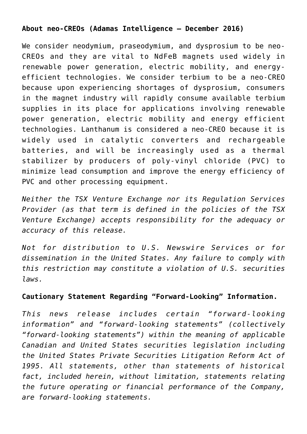## **About neo-CREOs (Adamas Intelligence – December 2016)**

We consider neodymium, praseodymium, and dysprosium to be neo-CREOs and they are vital to NdFeB magnets used widely in renewable power generation, electric mobility, and energyefficient technologies. We consider terbium to be a neo-CREO because upon experiencing shortages of dysprosium, consumers in the magnet industry will rapidly consume available terbium supplies in its place for applications involving renewable power generation, electric mobility and energy efficient technologies. Lanthanum is considered a neo-CREO because it is widely used in catalytic converters and rechargeable batteries, and will be increasingly used as a thermal stabilizer by producers of poly-vinyl chloride (PVC) to minimize lead consumption and improve the energy efficiency of PVC and other processing equipment.

*Neither the TSX Venture Exchange nor its Regulation Services Provider (as that term is defined in the policies of the TSX Venture Exchange) accepts responsibility for the adequacy or accuracy of this release.*

*Not for distribution to U.S. Newswire Services or for dissemination in the United States. Any failure to comply with this restriction may constitute a violation of U.S. securities laws.*

### **Cautionary Statement Regarding "Forward-Looking" Information.**

*This news release includes certain "forward-looking information" and "forward-looking statements" (collectively "forward-looking statements") within the meaning of applicable Canadian and United States securities legislation including the United States Private Securities Litigation Reform Act of 1995. All statements, other than statements of historical fact, included herein, without limitation, statements relating the future operating or financial performance of the Company, are forward-looking statements.*